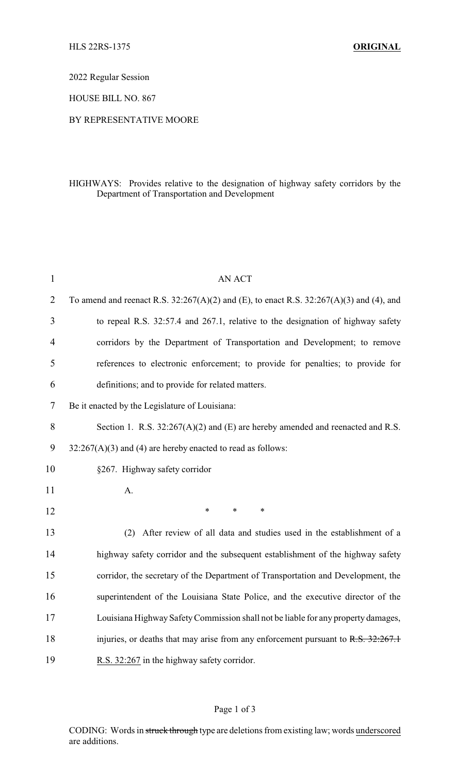2022 Regular Session

HOUSE BILL NO. 867

#### BY REPRESENTATIVE MOORE

## HIGHWAYS: Provides relative to the designation of highway safety corridors by the Department of Transportation and Development

| $\mathbf{1}$   | AN ACT                                                                                      |
|----------------|---------------------------------------------------------------------------------------------|
| $\overline{2}$ | To amend and reenact R.S. $32:267(A)(2)$ and (E), to enact R.S. $32:267(A)(3)$ and (4), and |
| 3              | to repeal R.S. 32:57.4 and 267.1, relative to the designation of highway safety             |
| $\overline{4}$ | corridors by the Department of Transportation and Development; to remove                    |
| 5              | references to electronic enforcement; to provide for penalties; to provide for              |
| 6              | definitions; and to provide for related matters.                                            |
| 7              | Be it enacted by the Legislature of Louisiana:                                              |
| 8              | Section 1. R.S. $32:267(A)(2)$ and (E) are hereby amended and reenacted and R.S.            |
| 9              | $32:267(A)(3)$ and (4) are hereby enacted to read as follows:                               |
| 10             | §267. Highway safety corridor                                                               |
| 11             | A.                                                                                          |
| 12             | $\ast$<br>*<br>$\ast$                                                                       |
| 13             | (2) After review of all data and studies used in the establishment of a                     |
| 14             | highway safety corridor and the subsequent establishment of the highway safety              |
| 15             | corridor, the secretary of the Department of Transportation and Development, the            |
| 16             | superintendent of the Louisiana State Police, and the executive director of the             |
| 17             | Louisiana Highway Safety Commission shall not be liable for any property damages,           |
| 18             | injuries, or deaths that may arise from any enforcement pursuant to R.S. 32:267.1           |
| 19             | R.S. 32:267 in the highway safety corridor.                                                 |

## Page 1 of 3

CODING: Words in struck through type are deletions from existing law; words underscored are additions.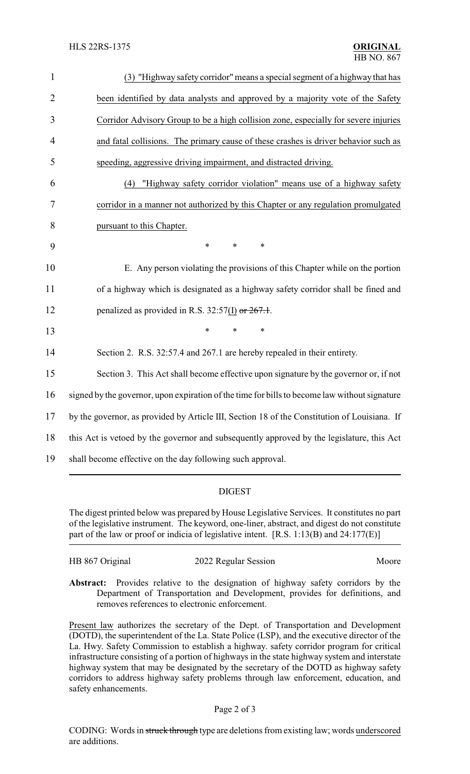| $\mathbf{1}$   | (3) "Highway safety corridor" means a special segment of a highway that has                   |  |  |
|----------------|-----------------------------------------------------------------------------------------------|--|--|
| $\overline{2}$ | been identified by data analysts and approved by a majority vote of the Safety                |  |  |
| 3              | Corridor Advisory Group to be a high collision zone, especially for severe injuries           |  |  |
| $\overline{4}$ | and fatal collisions. The primary cause of these crashes is driver behavior such as           |  |  |
| 5              | speeding, aggressive driving impairment, and distracted driving.                              |  |  |
| 6              | "Highway safety corridor violation" means use of a highway safety<br>(4)                      |  |  |
| 7              | corridor in a manner not authorized by this Chapter or any regulation promulgated             |  |  |
| 8              | pursuant to this Chapter.                                                                     |  |  |
| 9              | $\ast$<br>$\ast$<br>$\ast$                                                                    |  |  |
| 10             | E. Any person violating the provisions of this Chapter while on the portion                   |  |  |
| 11             | of a highway which is designated as a highway safety corridor shall be fined and              |  |  |
| 12             | penalized as provided in R.S. 32:57(I) or $267.1$ .                                           |  |  |
| 13             | $\ast$<br>*                                                                                   |  |  |
| 14             | Section 2. R.S. 32:57.4 and 267.1 are hereby repealed in their entirety.                      |  |  |
| 15             | Section 3. This Act shall become effective upon signature by the governor or, if not          |  |  |
| 16             | signed by the governor, upon expiration of the time for bills to become law without signature |  |  |
| 17             | by the governor, as provided by Article III, Section 18 of the Constitution of Louisiana. If  |  |  |
| 18             | this Act is vetoed by the governor and subsequently approved by the legislature, this Act     |  |  |
| 19             | shall become effective on the day following such approval.                                    |  |  |

# DIGEST

The digest printed below was prepared by House Legislative Services. It constitutes no part of the legislative instrument. The keyword, one-liner, abstract, and digest do not constitute part of the law or proof or indicia of legislative intent. [R.S. 1:13(B) and 24:177(E)]

| HB 867 Original | 2022 Regular Session | Moore |
|-----------------|----------------------|-------|
|                 |                      |       |

**Abstract:** Provides relative to the designation of highway safety corridors by the Department of Transportation and Development, provides for definitions, and removes references to electronic enforcement.

Present law authorizes the secretary of the Dept. of Transportation and Development (DOTD), the superintendent of the La. State Police (LSP), and the executive director of the La. Hwy. Safety Commission to establish a highway. safety corridor program for critical infrastructure consisting of a portion of highways in the state highway system and interstate highway system that may be designated by the secretary of the DOTD as highway safety corridors to address highway safety problems through law enforcement, education, and safety enhancements.

#### Page 2 of 3

CODING: Words in struck through type are deletions from existing law; words underscored are additions.